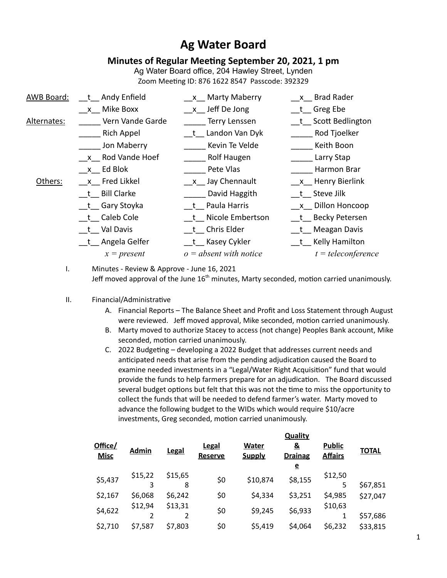# **Ag Water Board**

## **Minutes of Regular Meeting September 20, 2021, 1 pm**

Ag Water Board office, 204 Hawley Street, Lynden Zoom Meeting ID: 876 1622 8547 Passcode: 392329

| AWB Board:  | t Andy Enfield    | x Marty Maberry          | x Brad Rader         |
|-------------|-------------------|--------------------------|----------------------|
|             | x Mike Boxx       | x Jeff De Jong           | t Greg Ebe           |
| Alternates: | Vern Vande Garde  | <b>Terry Lenssen</b>     | t Scott Bedlington   |
|             | <b>Rich Appel</b> | t Landon Van Dyk         | Rod Tjoelker         |
|             | Jon Maberry       | Kevin Te Velde           | Keith Boon           |
|             | x Rod Vande Hoef  | Rolf Haugen              | Larry Stap           |
|             | $x$ Ed Blok       | Pete Vlas                | Harmon Brar          |
| Others:     | x Fred Likkel     | x Jay Chennault          | x Henry Bierlink     |
|             | t Bill Clarke     | David Haggith            | t Steve Jilk         |
|             | t Gary Stoyka     | t Paula Harris           | x Dillon Honcoop     |
|             | t Caleb Cole      | t Nicole Embertson       | t Becky Petersen     |
|             | t Val Davis       | t Chris Elder            | t Meagan Davis       |
|             | t Angela Gelfer   | __t__ Kasey Cykler       | t Kelly Hamilton     |
|             | $x = present$     | $o = absent$ with notice | $t = teleconference$ |
|             |                   |                          |                      |

I. Minutes - Review & Approve - June 16, 2021 Jeff moved approval of the June 16<sup>th</sup> minutes, Marty seconded, motion carried unanimously.

#### II. Financial/Administrative

- A. Financial Reports The Balance Sheet and Profit and Loss Statement through August were reviewed. Jeff moved approval, Mike seconded, motion carried unanimously.
- B. Marty moved to authorize Stacey to access (not change) Peoples Bank account, Mike seconded, motion carried unanimously.
- C. 2022 Budgeting developing a 2022 Budget that addresses current needs and anticipated needs that arise from the pending adjudication caused the Board to examine needed investments in a "Legal/Water Right Acquisition" fund that would provide the funds to help farmers prepare for an adjudication. The Board discussed several budget options but felt that this was not the time to miss the opportunity to collect the funds that will be needed to defend farmer's water. Marty moved to advance the following budget to the WIDs which would require \$10/acre investments, Greg seconded, motion carried unanimously.

| Office/<br><b>Misc</b> | <b>Admin</b> | Legal   | <b>Legal</b><br><b>Reserve</b> | Water<br><b>Supply</b> | <b>Quality</b><br><u>&amp;</u><br><b>Drainag</b> | <b>Public</b><br><b>Affairs</b> | <b>TOTAL</b> |
|------------------------|--------------|---------|--------------------------------|------------------------|--------------------------------------------------|---------------------------------|--------------|
|                        |              |         |                                |                        | $\mathbf e$                                      |                                 |              |
| \$5,437                | \$15,22      | \$15,65 | \$0                            | \$10,874               | \$8,155                                          | \$12,50                         |              |
|                        | 3            | 8       |                                |                        |                                                  | 5                               | \$67,851     |
| \$2,167                | \$6,068      | \$6,242 | \$0                            | \$4,334                | \$3,251                                          | \$4,985                         | \$27,047     |
|                        | \$12,94      | \$13,31 |                                |                        |                                                  | \$10,63                         |              |
| \$4,622                | 2            |         | \$0                            | \$9,245                | \$6,933                                          |                                 | \$57,686     |
|                        |              |         |                                |                        |                                                  |                                 |              |
| \$2,710                | \$7,587      | \$7,803 | \$0                            | \$5,419                | \$4,064                                          | \$6,232                         | \$33,815     |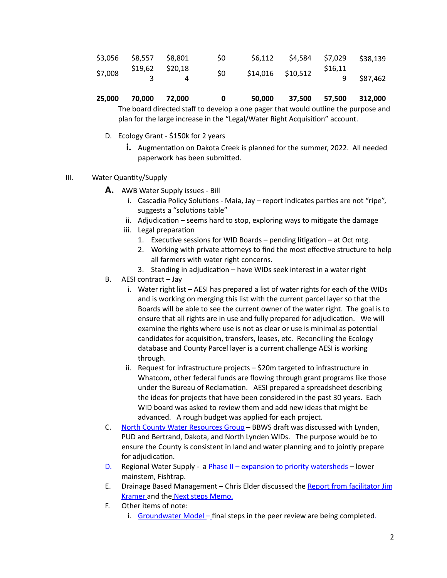|         | $$3,056$ $$8,557$ $$8,801$ | S0  |                   | $$6,112$ $$4,584$ $$7,029$ $$38,139$ |        |             |
|---------|----------------------------|-----|-------------------|--------------------------------------|--------|-------------|
| \$7,008 | \$19,62 \$20,18            | \$0 | \$14,016 \$10,512 |                                      | S16.11 |             |
|         |                            |     |                   |                                      |        | 9  \$87,462 |

|  | 25,000 70,000 72,000 |  |  |  | 50,000 37,500 57,500 312,000 |  |  |
|--|----------------------|--|--|--|------------------------------|--|--|
|--|----------------------|--|--|--|------------------------------|--|--|

The board directed staff to develop a one pager that would outline the purpose and plan for the large increase in the "Legal/Water Right Acquisition" account.

- D. Ecology Grant \$150k for 2 years
	- **i.** Augmentation on Dakota Creek is planned for the summer, 2022. All needed paperwork has been submitted.
- III. Water Quantity/Supply
	- **A.** AWB Water Supply issues Bill
		- i. Cascadia Policy Solutions Maia, Jay report indicates parties are not "ripe", suggests a "solutions table"
		- ii. Adjudication seems hard to stop, exploring ways to mitigate the damage
		- iii. Legal preparation
			- 1. Executive sessions for WID Boards pending litigation at Oct mtg.
			- 2. Working with private attorneys to find the most effective structure to help all farmers with water right concerns.
			- 3. Standing in adjudication have WIDs seek interest in a water right
	- B. AESI contract Jay
		- i. Water right list AESI has prepared a list of water rights for each of the WIDs and is working on merging this list with the current parcel layer so that the Boards will be able to see the current owner of the water right. The goal is to ensure that all rights are in use and fully prepared for adjudication. We will examine the rights where use is not as clear or use is minimal as potential candidates for acquisition, transfers, leases, etc. Reconciling the Ecology database and County Parcel layer is a current challenge AESI is working through.
		- ii. Request for infrastructure projects \$20m targeted to infrastructure in Whatcom, other federal funds are flowing through grant programs like those under the Bureau of Reclamation. AESI prepared a spreadsheet describing the ideas for projects that have been considered in the past 30 years. Each WID board was asked to review them and add new ideas that might be advanced. A rough budget was applied for each project.
	- C. North County Water Resources Group BBWS draft was discussed with Lynden, PUD and Bertrand, Dakota, and North Lynden WIDs. The purpose would be to ensure the County is consistent in land and water planning and to jointly prepare for adjudication.
	- D. Regional Water Supply a **Phase II expansion to priority watersheds** lower mainstem, Fishtrap.
	- E. Drainage Based Management Chris Elder discussed the Report from facilitator Jim Kramer and the Next steps Memo.
	- F. Other items of note:
		- i. Groundwater Model final steps in the peer review are being completed.